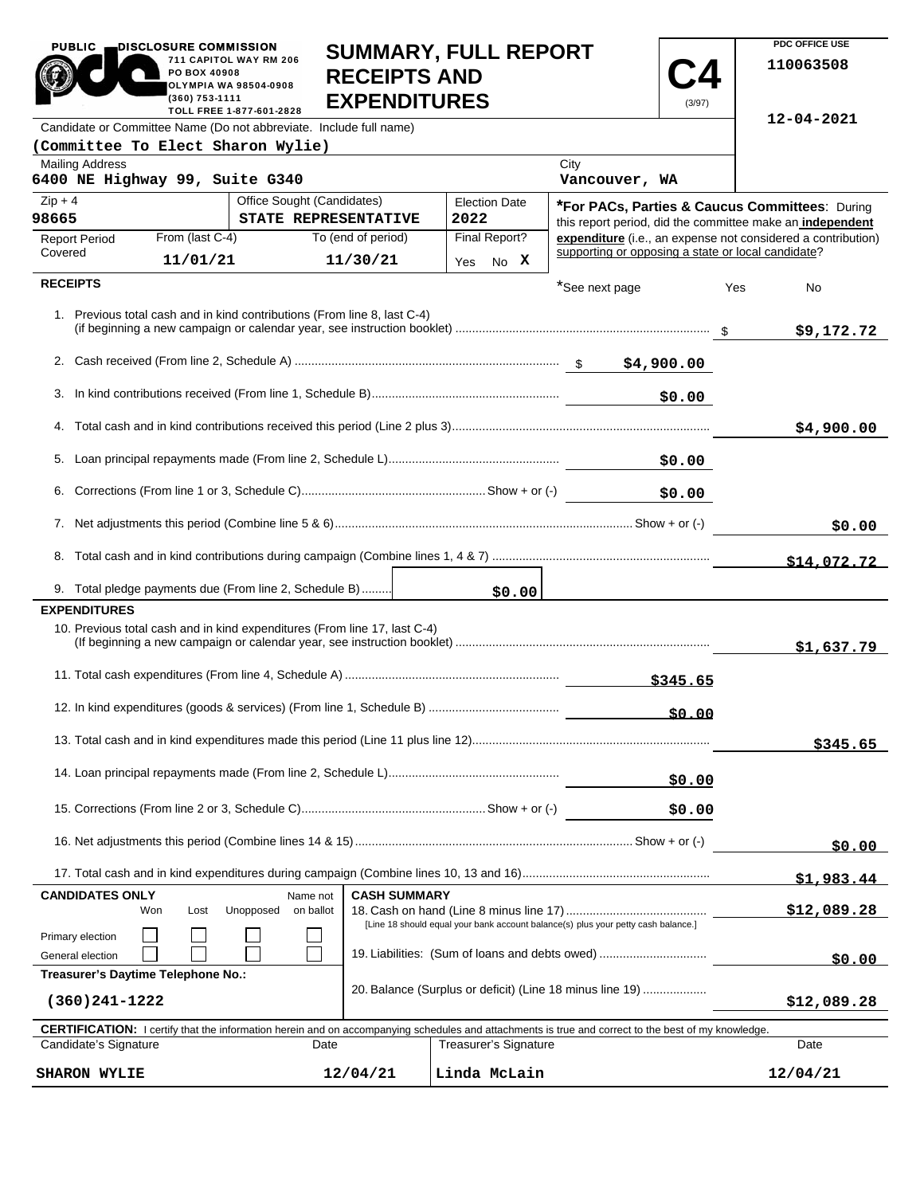| <b>PUBLIC</b>                                                                                                                                                               | DISCLOSURE COMMISSION<br>PO BOX 40908<br>(360) 753-1111       | 711 CAPITOL WAY RM 206<br><b>OLYMPIA WA 98504-0908</b><br>TOLL FREE 1-877-601-2828 | <b>RECEIPTS AND</b><br><b>EXPENDITURES</b> | <b>SUMMARY, FULL REPORT</b> |                                                                                                                                                            | (3/97)      |             | PDC OFFICE USE<br>110063508                                  |
|-----------------------------------------------------------------------------------------------------------------------------------------------------------------------------|---------------------------------------------------------------|------------------------------------------------------------------------------------|--------------------------------------------|-----------------------------|------------------------------------------------------------------------------------------------------------------------------------------------------------|-------------|-------------|--------------------------------------------------------------|
| Candidate or Committee Name (Do not abbreviate. Include full name)                                                                                                          |                                                               |                                                                                    |                                            |                             |                                                                                                                                                            |             |             | $12 - 04 - 2021$                                             |
| (Committee To Elect Sharon Wylie)                                                                                                                                           |                                                               |                                                                                    |                                            |                             |                                                                                                                                                            |             |             |                                                              |
| <b>Mailing Address</b><br>6400 NE Highway 99, Suite G340                                                                                                                    |                                                               |                                                                                    |                                            |                             | City<br>Vancouver, WA                                                                                                                                      |             |             |                                                              |
| Office Sought (Candidates)<br>$Zip + 4$<br>98665<br>STATE REPRESENTATIVE                                                                                                    |                                                               |                                                                                    | <b>Election Date</b><br>2022               |                             | *For PACs, Parties & Caucus Committees: During<br>this report period, did the committee make an independent                                                |             |             |                                                              |
| <b>Report Period</b>                                                                                                                                                        | From (last C-4)                                               |                                                                                    | To (end of period)                         | Final Report?               |                                                                                                                                                            |             |             | expenditure (i.e., an expense not considered a contribution) |
| Covered                                                                                                                                                                     | 11/01/21                                                      |                                                                                    | 11/30/21                                   | Yes No X                    | supporting or opposing a state or local candidate?                                                                                                         |             |             |                                                              |
| <b>RECEIPTS</b>                                                                                                                                                             |                                                               |                                                                                    |                                            |                             | *See next page                                                                                                                                             |             | Yes         | No                                                           |
|                                                                                                                                                                             |                                                               | 1. Previous total cash and in kind contributions (From line 8, last C-4)           |                                            |                             |                                                                                                                                                            |             |             | \$9,172.72                                                   |
|                                                                                                                                                                             |                                                               |                                                                                    |                                            |                             |                                                                                                                                                            |             |             |                                                              |
| 3.                                                                                                                                                                          |                                                               |                                                                                    |                                            |                             |                                                                                                                                                            | \$0.00      |             |                                                              |
|                                                                                                                                                                             |                                                               |                                                                                    |                                            |                             |                                                                                                                                                            |             |             | \$4,900.00                                                   |
|                                                                                                                                                                             |                                                               |                                                                                    |                                            |                             |                                                                                                                                                            | \$0.00      |             |                                                              |
|                                                                                                                                                                             | \$0.00                                                        |                                                                                    |                                            |                             |                                                                                                                                                            |             |             |                                                              |
|                                                                                                                                                                             |                                                               |                                                                                    |                                            |                             |                                                                                                                                                            |             | \$0.00      |                                                              |
|                                                                                                                                                                             |                                                               |                                                                                    |                                            |                             |                                                                                                                                                            |             | \$14,072.72 |                                                              |
|                                                                                                                                                                             |                                                               | 9. Total pledge payments due (From line 2, Schedule B)                             |                                            | \$0.00                      |                                                                                                                                                            |             |             |                                                              |
| <b>EXPENDITURES</b>                                                                                                                                                         |                                                               |                                                                                    |                                            |                             |                                                                                                                                                            |             |             |                                                              |
|                                                                                                                                                                             |                                                               | 10. Previous total cash and in kind expenditures (From line 17, last C-4)          |                                            |                             |                                                                                                                                                            |             |             | \$1,637.79                                                   |
|                                                                                                                                                                             |                                                               |                                                                                    |                                            |                             |                                                                                                                                                            | \$345.65    |             |                                                              |
|                                                                                                                                                                             |                                                               |                                                                                    |                                            |                             |                                                                                                                                                            | \$0.00      |             |                                                              |
|                                                                                                                                                                             |                                                               |                                                                                    |                                            |                             |                                                                                                                                                            |             |             | \$345.65                                                     |
|                                                                                                                                                                             |                                                               |                                                                                    |                                            |                             |                                                                                                                                                            | \$0.00      |             |                                                              |
|                                                                                                                                                                             |                                                               |                                                                                    |                                            |                             |                                                                                                                                                            | \$0.00      |             |                                                              |
|                                                                                                                                                                             |                                                               |                                                                                    |                                            |                             |                                                                                                                                                            |             | \$0.00      |                                                              |
|                                                                                                                                                                             |                                                               |                                                                                    |                                            |                             |                                                                                                                                                            |             |             | \$1,983.44                                                   |
| <b>CANDIDATES ONLY</b><br><b>CASH SUMMARY</b><br>Name not<br>Unopposed<br>on ballot<br>Won<br>Lost                                                                          |                                                               |                                                                                    |                                            |                             |                                                                                                                                                            | \$12,089.28 |             |                                                              |
| [Line 18 should equal your bank account balance(s) plus your petty cash balance.]<br>Primary election<br>19. Liabilities: (Sum of loans and debts owed)<br>General election |                                                               |                                                                                    |                                            |                             |                                                                                                                                                            | \$0.00      |             |                                                              |
| Treasurer's Daytime Telephone No.:<br>20. Balance (Surplus or deficit) (Line 18 minus line 19)<br>$(360)241 - 1222$                                                         |                                                               |                                                                                    |                                            |                             |                                                                                                                                                            | \$12,089.28 |             |                                                              |
|                                                                                                                                                                             |                                                               |                                                                                    |                                            |                             | <b>CERTIFICATION:</b> I certify that the information herein and on accompanying schedules and attachments is true and correct to the best of my knowledge. |             |             |                                                              |
|                                                                                                                                                                             | Candidate's Signature<br><b>Treasurer's Signature</b><br>Date |                                                                                    |                                            |                             |                                                                                                                                                            |             |             | Date                                                         |
| <b>SHARON WYLIE</b>                                                                                                                                                         | Linda McLain<br>12/04/21                                      |                                                                                    |                                            |                             |                                                                                                                                                            |             |             | 12/04/21                                                     |

**PDC OFFICE USE** 

PUBLIC **DISCLOSURE COMMISSION**